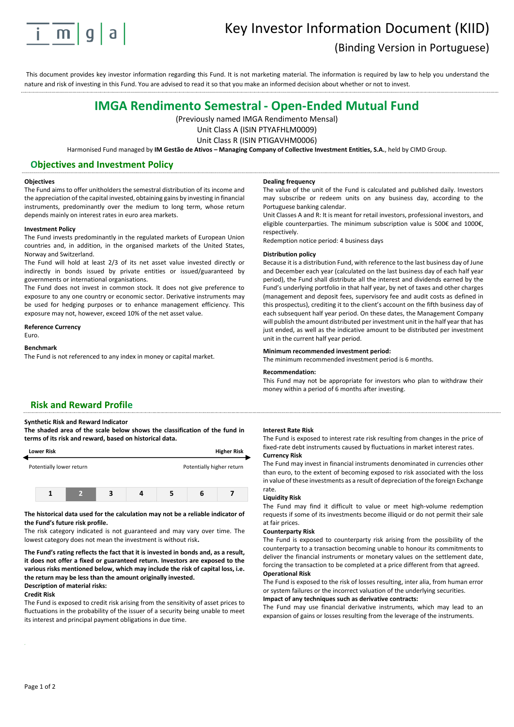

# Key Investor Information Document (KIID) (Binding Version in Portuguese)

This document provides key investor information regarding this Fund. It is not marketing material. The information is required by law to help you understand the nature and risk of investing in this Fund. You are advised to read it so that you make an informed decision about whether or not to invest.

# **IMGA Rendimento Semestral - Open-Ended Mutual Fund**

(Previously named IMGA Rendimento Mensal)

Unit Class A (ISIN PTYAFHLM0009) Unit Class R (ISIN PTIGAVHM0006)

Harmonised Fund managed by **IM Gestão de Ativos – Managing Company of Collective Investment Entities, S.A.**, held by CIMD Group.

# **Objectives and Investment Policy**

#### **Objectives**

The Fund aims to offer unitholders the semestral distribution of its income and the appreciation of the capital invested, obtaining gains by investing in financial instruments, predominantly over the medium to long term, whose return depends mainly on interest rates in euro area markets.

#### **Investment Policy**

The Fund invests predominantly in the regulated markets of European Union countries and, in addition, in the organised markets of the United States, Norway and Switzerland.

The Fund will hold at least 2/3 of its net asset value invested directly or indirectly in bonds issued by private entities or issued/guaranteed by governments or international organisations.

The Fund does not invest in common stock. It does not give preference to exposure to any one country or economic sector. Derivative instruments may be used for hedging purposes or to enhance management efficiency. This exposure may not, however, exceed 10% of the net asset value.

### **Reference Currency**

Euro.

#### **Benchmark**

The Fund is not referenced to any index in money or capital market.

#### **Dealing frequency**

The value of the unit of the Fund is calculated and published daily. Investors may subscribe or redeem units on any business day, according to the Portuguese banking calendar.

Unit Classes A and R: It is meant for retail investors, professional investors, and eligible counterparties. The minimum subscription value is 500€ and 1000€, respectively.

Redemption notice period: 4 business days

#### **Distribution policy**

Because it is a distribution Fund, with reference to the last business day of June and December each year (calculated on the last business day of each half year period), the Fund shall distribute all the interest and dividends earned by the Fund's underlying portfolio in that half year, by net of taxes and other charges (management and deposit fees, supervisory fee and audit costs as defined in this prospectus), crediting it to the client's account on the fifth business day of each subsequent half year period. On these dates, the Management Company will publish the amount distributed per investment unit in the half year that has just ended, as well as the indicative amount to be distributed per investment unit in the current half year period.

#### **Minimum recommended investment period:**

The minimum recommended investment period is 6 months.

#### **Recommendation:**

This Fund may not be appropriate for investors who plan to withdraw their money within a period of 6 months after investing.

# **Risk and Reward Profile**

**Synthetic Risk and Reward Indicator**

**The shaded area of the scale below shows the classification of the fund in terms of its risk and reward, based on historical data.** 



### **The historical data used for the calculation may not be a reliable indicator of the Fund's future risk profile.**

The risk category indicated is not guaranteed and may vary over time. The lowest category does not mean the investment is without risk**.** 

**The Fund's rating reflects the fact that it is invested in bonds and, as a result, it does not offer a fixed or guaranteed return. Investors are exposed to the various risks mentioned below, which may include the risk of capital loss, i.e. the return may be less than the amount originally invested. Description of material risks:**

#### **Credit Risk**

The Fund is exposed to credit risk arising from the sensitivity of asset prices to fluctuations in the probability of the issuer of a security being unable to meet its interest and principal payment obligations in due time.

#### **Interest Rate Risk**

The Fund is exposed to interest rate risk resulting from changes in the price of fixed-rate debt instruments caused by fluctuations in market interest rates.

### **Currency Risk**

The Fund may invest in financial instruments denominated in currencies other than euro, to the extent of becoming exposed to risk associated with the loss in value of these investments as a result of depreciation of the foreign Exchange rate.

#### **Liquidity Risk**

The Fund may find it difficult to value or meet high-volume redemption requests if some of its investments become illiquid or do not permit their sale at fair prices.

#### **Counterparty Risk**

The Fund is exposed to counterparty risk arising from the possibility of the counterparty to a transaction becoming unable to honour its commitments to deliver the financial instruments or monetary values on the settlement date, forcing the transaction to be completed at a price different from that agreed. **Operational Risk**

The Fund is exposed to the risk of losses resulting, inter alia, from human error or system failures or the incorrect valuation of the underlying securities.

## **Impact of any techniques such as derivative contracts:**

The Fund may use financial derivative instruments, which may lead to an expansion of gains or losses resulting from the leverage of the instruments.

**´**